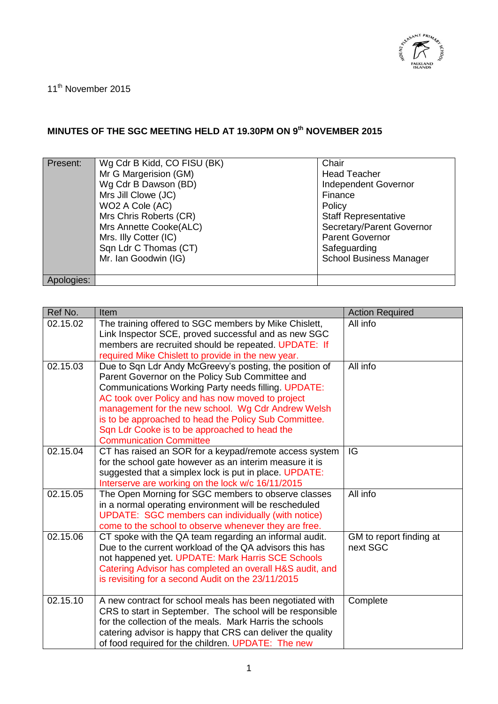

11<sup>th</sup> November 2015

## **MINUTES OF THE SGC MEETING HELD AT 19.30PM ON 9th NOVEMBER 2015**

| Present:   | Wg Cdr B Kidd, CO FISU (BK) | Chair                          |
|------------|-----------------------------|--------------------------------|
|            | Mr G Margerision (GM)       | <b>Head Teacher</b>            |
|            | Wg Cdr B Dawson (BD)        | <b>Independent Governor</b>    |
|            | Mrs Jill Clowe (JC)         | Finance                        |
|            | WO2 A Cole (AC)             | Policy                         |
|            | Mrs Chris Roberts (CR)      | <b>Staff Representative</b>    |
|            | Mrs Annette Cooke(ALC)      | Secretary/Parent Governor      |
|            | Mrs. Illy Cotter (IC)       | <b>Parent Governor</b>         |
|            | Sqn Ldr C Thomas (CT)       | Safeguarding                   |
|            | Mr. Ian Goodwin (IG)        | <b>School Business Manager</b> |
|            |                             |                                |
| Apologies: |                             |                                |

| Ref No.  | Item                                                                                                                  | <b>Action Required</b>              |
|----------|-----------------------------------------------------------------------------------------------------------------------|-------------------------------------|
| 02.15.02 | The training offered to SGC members by Mike Chislett,<br>Link Inspector SCE, proved successful and as new SGC         | All info                            |
|          | members are recruited should be repeated. UPDATE: If                                                                  |                                     |
|          | required Mike Chislett to provide in the new year.                                                                    |                                     |
| 02.15.03 | Due to Sqn Ldr Andy McGreevy's posting, the position of                                                               | All info                            |
|          | Parent Governor on the Policy Sub Committee and<br><b>Communications Working Party needs filling. UPDATE:</b>         |                                     |
|          | AC took over Policy and has now moved to project                                                                      |                                     |
|          | management for the new school. Wg Cdr Andrew Welsh                                                                    |                                     |
|          | is to be approached to head the Policy Sub Committee.                                                                 |                                     |
|          | Sqn Ldr Cooke is to be approached to head the                                                                         |                                     |
|          | <b>Communication Committee</b>                                                                                        |                                     |
| 02.15.04 | CT has raised an SOR for a keypad/remote access system                                                                | IG                                  |
|          | for the school gate however as an interim measure it is<br>suggested that a simplex lock is put in place. UPDATE:     |                                     |
|          | Interserve are working on the lock w/c 16/11/2015                                                                     |                                     |
| 02.15.05 | The Open Morning for SGC members to observe classes                                                                   | All info                            |
|          | in a normal operating environment will be rescheduled                                                                 |                                     |
|          | <b>UPDATE: SGC members can individually (with notice)</b>                                                             |                                     |
|          | come to the school to observe whenever they are free.                                                                 |                                     |
| 02.15.06 | CT spoke with the QA team regarding an informal audit.<br>Due to the current workload of the QA advisors this has     | GM to report finding at<br>next SGC |
|          | not happened yet. UPDATE: Mark Harris SCE Schools                                                                     |                                     |
|          | Catering Advisor has completed an overall H&S audit, and                                                              |                                     |
|          | is revisiting for a second Audit on the 23/11/2015                                                                    |                                     |
|          |                                                                                                                       |                                     |
| 02.15.10 | A new contract for school meals has been negotiated with                                                              | Complete                            |
|          | CRS to start in September. The school will be responsible<br>for the collection of the meals. Mark Harris the schools |                                     |
|          | catering advisor is happy that CRS can deliver the quality                                                            |                                     |
|          | of food required for the children. UPDATE: The new                                                                    |                                     |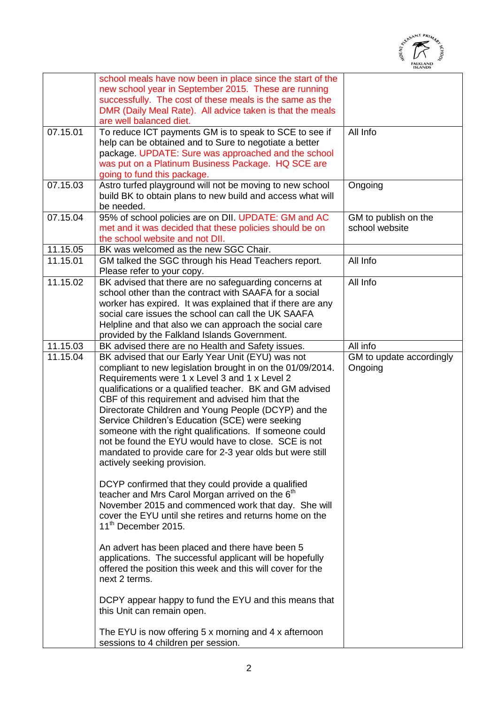

|          |                                                                                                                   | <b>ISLANDS</b>           |
|----------|-------------------------------------------------------------------------------------------------------------------|--------------------------|
|          | school meals have now been in place since the start of the                                                        |                          |
|          | new school year in September 2015. These are running                                                              |                          |
|          | successfully. The cost of these meals is the same as the                                                          |                          |
|          | DMR (Daily Meal Rate). All advice taken is that the meals                                                         |                          |
| 07.15.01 | are well balanced diet.                                                                                           | All Info                 |
|          | To reduce ICT payments GM is to speak to SCE to see if<br>help can be obtained and to Sure to negotiate a better  |                          |
|          | package. UPDATE: Sure was approached and the school                                                               |                          |
|          | was put on a Platinum Business Package. HQ SCE are                                                                |                          |
|          | going to fund this package.                                                                                       |                          |
| 07.15.03 | Astro turfed playground will not be moving to new school                                                          | Ongoing                  |
|          | build BK to obtain plans to new build and access what will                                                        |                          |
|          | be needed.                                                                                                        |                          |
| 07.15.04 | 95% of school policies are on DII. UPDATE: GM and AC                                                              | GM to publish on the     |
|          | met and it was decided that these policies should be on                                                           | school website           |
|          | the school website and not DII.                                                                                   |                          |
| 11.15.05 | BK was welcomed as the new SGC Chair.                                                                             |                          |
| 11.15.01 | GM talked the SGC through his Head Teachers report.                                                               | All Info                 |
|          | Please refer to your copy.                                                                                        |                          |
| 11.15.02 | BK advised that there are no safeguarding concerns at                                                             | All Info                 |
|          | school other than the contract with SAAFA for a social                                                            |                          |
|          | worker has expired. It was explained that if there are any<br>social care issues the school can call the UK SAAFA |                          |
|          | Helpline and that also we can approach the social care                                                            |                          |
|          | provided by the Falkland Islands Government.                                                                      |                          |
| 11.15.03 | BK advised there are no Health and Safety issues.                                                                 | All info                 |
| 11.15.04 | BK advised that our Early Year Unit (EYU) was not                                                                 | GM to update accordingly |
|          | compliant to new legislation brought in on the 01/09/2014.                                                        | Ongoing                  |
|          | Requirements were 1 x Level 3 and 1 x Level 2                                                                     |                          |
|          | qualifications or a qualified teacher. BK and GM advised                                                          |                          |
|          | CBF of this requirement and advised him that the                                                                  |                          |
|          | Directorate Children and Young People (DCYP) and the                                                              |                          |
|          | Service Children's Education (SCE) were seeking                                                                   |                          |
|          | someone with the right qualifications. If someone could                                                           |                          |
|          | not be found the EYU would have to close. SCE is not                                                              |                          |
|          | mandated to provide care for 2-3 year olds but were still                                                         |                          |
|          | actively seeking provision.                                                                                       |                          |
|          |                                                                                                                   |                          |
|          | DCYP confirmed that they could provide a qualified<br>teacher and Mrs Carol Morgan arrived on the 6 <sup>th</sup> |                          |
|          | November 2015 and commenced work that day. She will                                                               |                          |
|          | cover the EYU until she retires and returns home on the                                                           |                          |
|          | 11 <sup>th</sup> December 2015.                                                                                   |                          |
|          |                                                                                                                   |                          |
|          | An advert has been placed and there have been 5                                                                   |                          |
|          | applications. The successful applicant will be hopefully                                                          |                          |
|          | offered the position this week and this will cover for the                                                        |                          |
|          | next 2 terms.                                                                                                     |                          |
|          |                                                                                                                   |                          |
|          | DCPY appear happy to fund the EYU and this means that                                                             |                          |
|          | this Unit can remain open.                                                                                        |                          |
|          | The EYU is now offering 5 x morning and 4 x afternoon                                                             |                          |
|          | sessions to 4 children per session.                                                                               |                          |